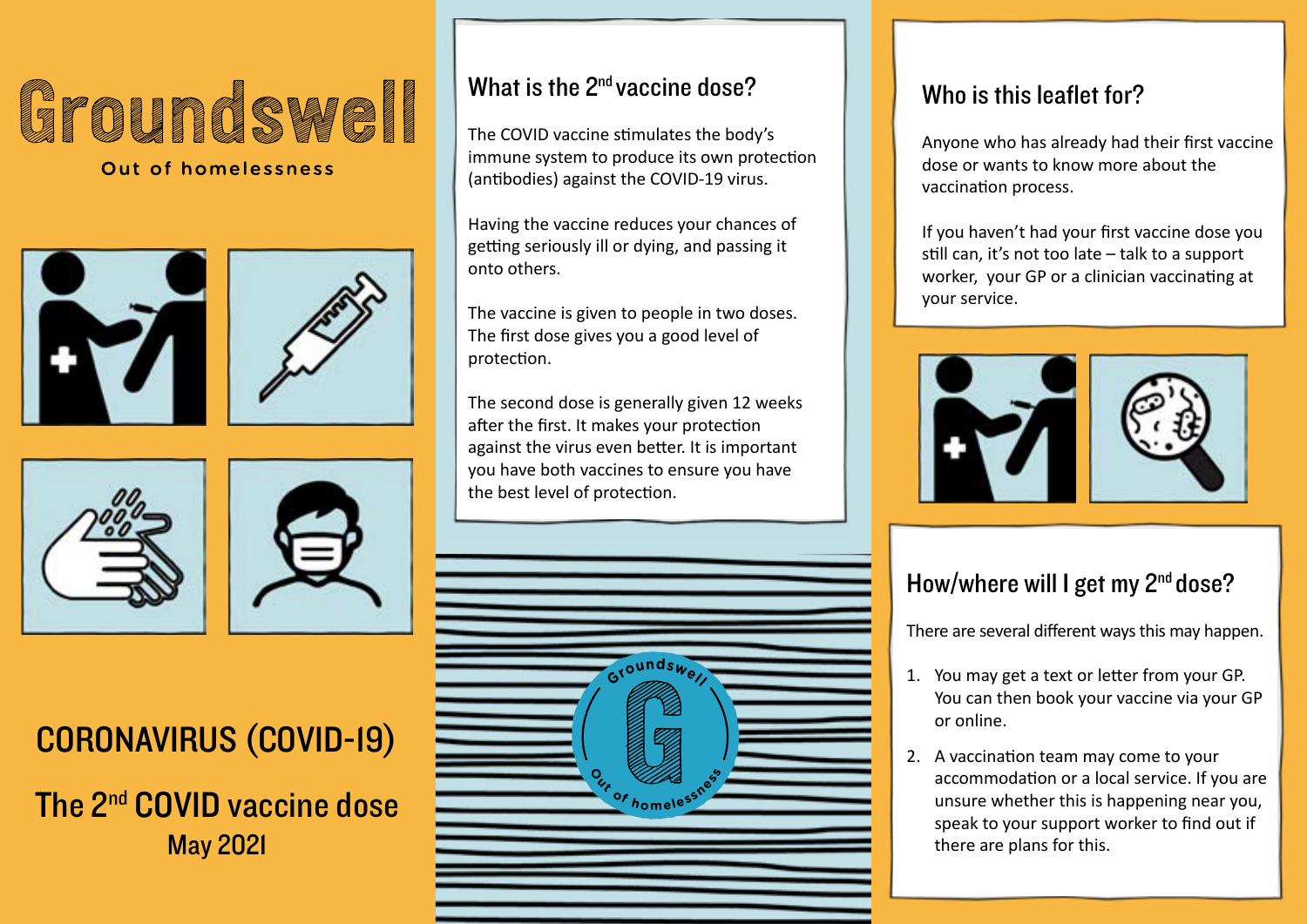# Groundswell

#### Out of homelessness





## CORONAVIRUS (COVID-19)

The 2<sup>nd</sup> COVID vaccine dose May 2021

#### What is the 2<sup>nd</sup> vaccine dose?

The COVID vaccine stimulates the body's immune system to produce its own protection (antibodies) against the COVID-19 virus.

Having the vaccine reduces your chances of getting seriously ill or dying, and passing it onto others.

The vaccine is given to people in two doses. The first dose gives you a good level of protection.

The second dose is generally given 12 weeks after the first. It makes your protection against the virus even better. It is important you have both vaccines to ensure you have the best level of protection.



## INside front inside mid-Who is this leaflet for?

Anyone who has already had their first vaccine dose or wants to know more about the vaccination process.

If you haven't had your first vaccine dose you still can, it's not too late – talk to a support worker, your GP or a clinician vaccinating at your service.



### How/where will I get my  $2<sup>nd</sup>$  dose?

There are several different ways this may happen.

- **Gron** $\bullet$ **l 1**. You may get a text or letter from your GP. You can then book your vaccine via your GP or online. **<sup>G</sup><sup>r</sup>oundswell**
	- 2. A vaccination team may come to your **accommodation or a local service. If you are and you,** accommodation or a local service. If you are<br>unsure whether this is happening near you, speak to your support worker to find out if there are plans for this.